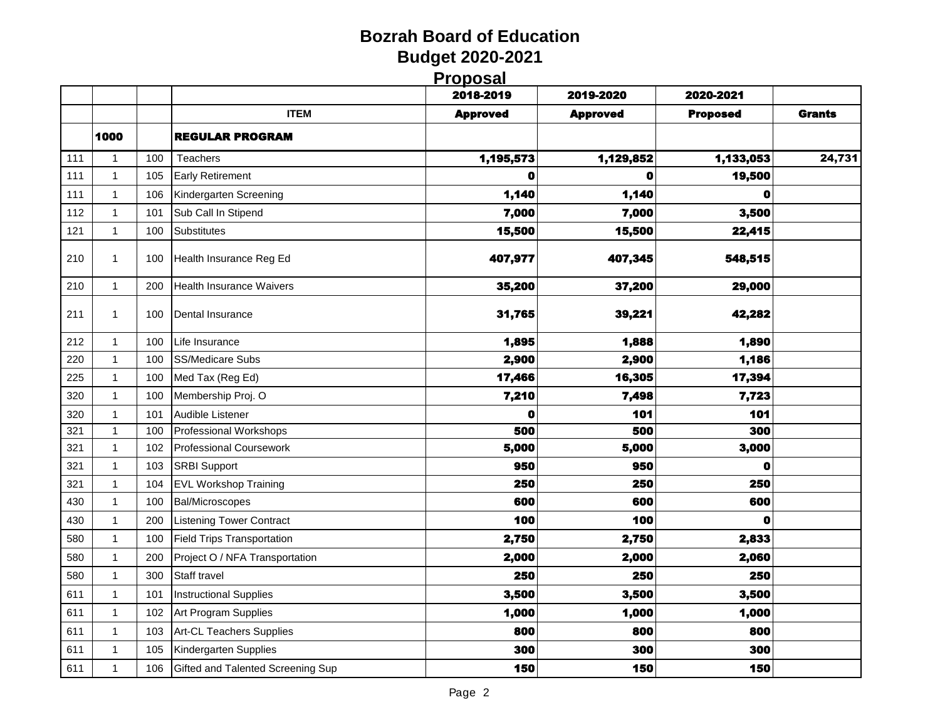#### **Bozrah Board of Education Budget 2020-2021 Proposal**

|     |              |     |                                   | <u>riupusai</u><br>2018-2019 | 2019-2020       | 2020-2021       |               |
|-----|--------------|-----|-----------------------------------|------------------------------|-----------------|-----------------|---------------|
|     |              |     | <b>ITEM</b>                       | <b>Approved</b>              | <b>Approved</b> | <b>Proposed</b> | <b>Grants</b> |
|     | 1000         |     | <b>REGULAR PROGRAM</b>            |                              |                 |                 |               |
| 111 | $\mathbf{1}$ | 100 | Teachers                          | 1,195,573                    | 1,129,852       | 1,133,053       | 24,731        |
| 111 | $\mathbf{1}$ | 105 | <b>Early Retirement</b>           | $\mathbf 0$                  | 0               | 19,500          |               |
| 111 | $\mathbf{1}$ | 106 | Kindergarten Screening            | 1,140                        | 1,140           | $\bullet$       |               |
| 112 | $\mathbf{1}$ | 101 | Sub Call In Stipend               | 7,000                        | 7,000           | 3,500           |               |
| 121 | $\mathbf{1}$ | 100 | Substitutes                       | 15,500                       | 15,500          | 22,415          |               |
| 210 | $\mathbf{1}$ | 100 | Health Insurance Reg Ed           | 407,977                      | 407,345         | 548,515         |               |
| 210 | $\mathbf{1}$ | 200 | <b>Health Insurance Waivers</b>   | 35,200                       | 37,200          | 29,000          |               |
| 211 | $\mathbf{1}$ | 100 | Dental Insurance                  | 31,765                       | 39,221          | 42,282          |               |
| 212 | $\mathbf{1}$ | 100 | Life Insurance                    | 1,895                        | 1,888           | 1,890           |               |
| 220 | $\mathbf{1}$ | 100 | <b>SS/Medicare Subs</b>           | 2,900                        | 2,900           | 1,186           |               |
| 225 | $\mathbf{1}$ | 100 | Med Tax (Reg Ed)                  | 17,466                       | 16,305          | 17,394          |               |
| 320 | 1            | 100 | Membership Proj. O                | 7,210                        | 7,498           | 7,723           |               |
| 320 | $\mathbf{1}$ | 101 | Audible Listener                  | $\mathbf o$                  | 101             | 101             |               |
| 321 | $\mathbf{1}$ | 100 | <b>Professional Workshops</b>     | 500                          | 500             | 300             |               |
| 321 | 1            | 102 | <b>Professional Coursework</b>    | 5,000                        | 5,000           | 3,000           |               |
| 321 | $\mathbf{1}$ | 103 | <b>SRBI Support</b>               | 950                          | 950             | $\mathbf o$     |               |
| 321 | $\mathbf{1}$ | 104 | <b>EVL Workshop Training</b>      | 250                          | 250             | 250             |               |
| 430 | $\mathbf{1}$ | 100 | <b>Bal/Microscopes</b>            | 600                          | 600             | 600             |               |
| 430 | $\mathbf{1}$ | 200 | <b>Listening Tower Contract</b>   | 100                          | 100             | $\mathbf o$     |               |
| 580 | $\mathbf{1}$ | 100 | <b>Field Trips Transportation</b> | 2,750                        | 2,750           | 2,833           |               |
| 580 | $\mathbf{1}$ | 200 | Project O / NFA Transportation    | 2,000                        | 2,000           | 2,060           |               |
| 580 | $\mathbf{1}$ | 300 | Staff travel                      | 250                          | 250             | 250             |               |
| 611 | $\mathbf{1}$ | 101 | <b>Instructional Supplies</b>     | 3,500                        | 3,500           | 3,500           |               |
| 611 | $\mathbf{1}$ | 102 | Art Program Supplies              | 1,000                        | 1,000           | 1,000           |               |
| 611 | $\mathbf{1}$ | 103 | Art-CL Teachers Supplies          | 800                          | 800             | 800             |               |
| 611 | 1            | 105 | Kindergarten Supplies             | 300                          | 300             | 300             |               |
| 611 | $\mathbf{1}$ | 106 | Gifted and Talented Screening Sup | 150                          | 150             | 150             |               |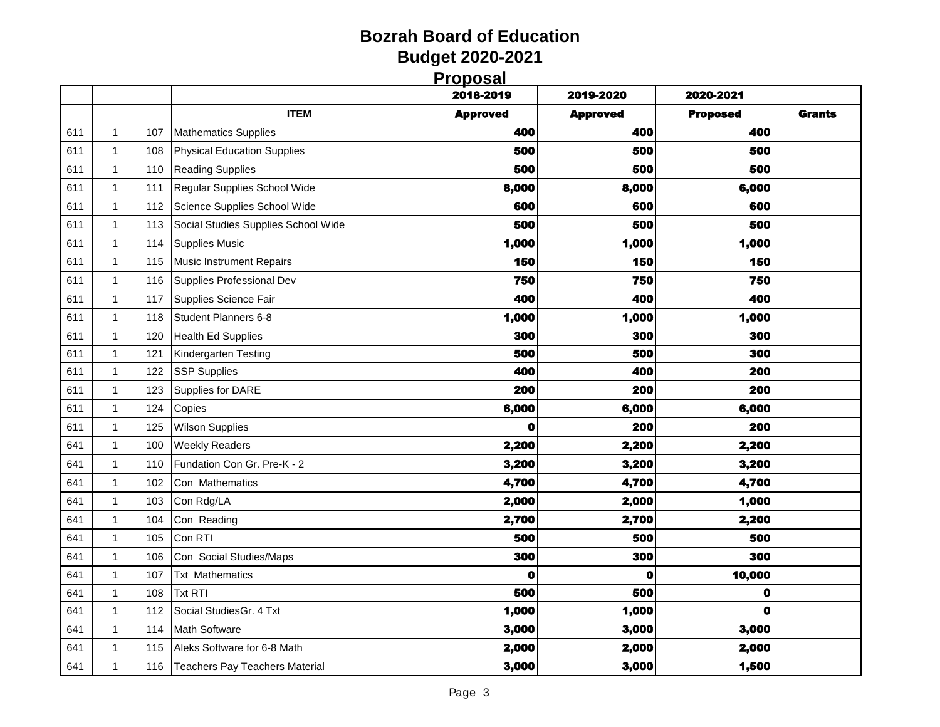| <b>Proposal</b> |
|-----------------|

|     |              |     |                                     | <u>і і орозаг</u><br>2018-2019 | 2019-2020       | 2020-2021       |               |
|-----|--------------|-----|-------------------------------------|--------------------------------|-----------------|-----------------|---------------|
|     |              |     | <b>ITEM</b>                         | <b>Approved</b>                | <b>Approved</b> | <b>Proposed</b> | <b>Grants</b> |
| 611 | 1            | 107 | <b>Mathematics Supplies</b>         | 400                            | 400             | 400             |               |
| 611 | $\mathbf{1}$ | 108 | Physical Education Supplies         | 500                            | 500             | 500             |               |
| 611 | 1            | 110 | <b>Reading Supplies</b>             | 500                            | 500             | 500             |               |
| 611 | 1            | 111 | Regular Supplies School Wide        | 8,000                          | 8,000           | 6,000           |               |
| 611 | $\mathbf{1}$ | 112 | Science Supplies School Wide        | 600                            | 600             | 600             |               |
| 611 | 1            | 113 | Social Studies Supplies School Wide | 500                            | 500             | 500             |               |
| 611 | 1            | 114 | <b>Supplies Music</b>               | 1,000                          | 1,000           | 1,000           |               |
| 611 | $\mathbf{1}$ | 115 | Music Instrument Repairs            | 150                            | 150             | 150             |               |
| 611 | 1            | 116 | Supplies Professional Dev           | 750                            | 750             | 750             |               |
| 611 | 1            | 117 | Supplies Science Fair               | 400                            | 400             | 400             |               |
| 611 | $\mathbf{1}$ | 118 | Student Planners 6-8                | 1,000                          | 1,000           | 1,000           |               |
| 611 | 1            | 120 | <b>Health Ed Supplies</b>           | 300                            | 300             | 300             |               |
| 611 | $\mathbf{1}$ | 121 | Kindergarten Testing                | 500                            | 500             | 300             |               |
| 611 | 1            | 122 | <b>SSP Supplies</b>                 | 400                            | 400             | 200             |               |
| 611 | $\mathbf{1}$ | 123 | Supplies for DARE                   | 200                            | 200             | 200             |               |
| 611 | 1            | 124 | Copies                              | 6,000                          | 6,000           | 6,000           |               |
| 611 | 1            | 125 | <b>Wilson Supplies</b>              | 0                              | 200             | 200             |               |
| 641 | $\mathbf{1}$ | 100 | <b>Weekly Readers</b>               | 2,200                          | 2,200           | 2,200           |               |
| 641 | 1            | 110 | Fundation Con Gr. Pre-K - 2         | 3,200                          | 3,200           | 3,200           |               |
| 641 | 1            | 102 | Con Mathematics                     | 4,700                          | 4,700           | 4,700           |               |
| 641 | $\mathbf{1}$ | 103 | Con Rdg/LA                          | 2,000                          | 2,000           | 1,000           |               |
| 641 | 1            | 104 | Con Reading                         | 2,700                          | 2,700           | 2,200           |               |
| 641 | 1            | 105 | Con RTI                             | 500                            | 500             | 500             |               |
| 641 | $\mathbf{1}$ | 106 | Con Social Studies/Maps             | 300                            | 300             | 300             |               |
| 641 | 1            | 107 | <b>Txt Mathematics</b>              | $\mathbf 0$                    | $\mathbf 0$     | 10,000          |               |
| 641 | $\mathbf{1}$ | 108 | <b>Txt RTI</b>                      | 500                            | 500             | 0               |               |
| 641 | 1            | 112 | Social StudiesGr. 4 Txt             | 1,000                          | 1,000           | O               |               |
| 641 | $\mathbf 1$  | 114 | <b>Math Software</b>                | 3,000                          | 3,000           | 3,000           |               |
| 641 | 1            | 115 | Aleks Software for 6-8 Math         | 2,000                          | 2,000           | 2,000           |               |
| 641 | 1            | 116 | Teachers Pay Teachers Material      | 3,000                          | 3,000           | 1,500           |               |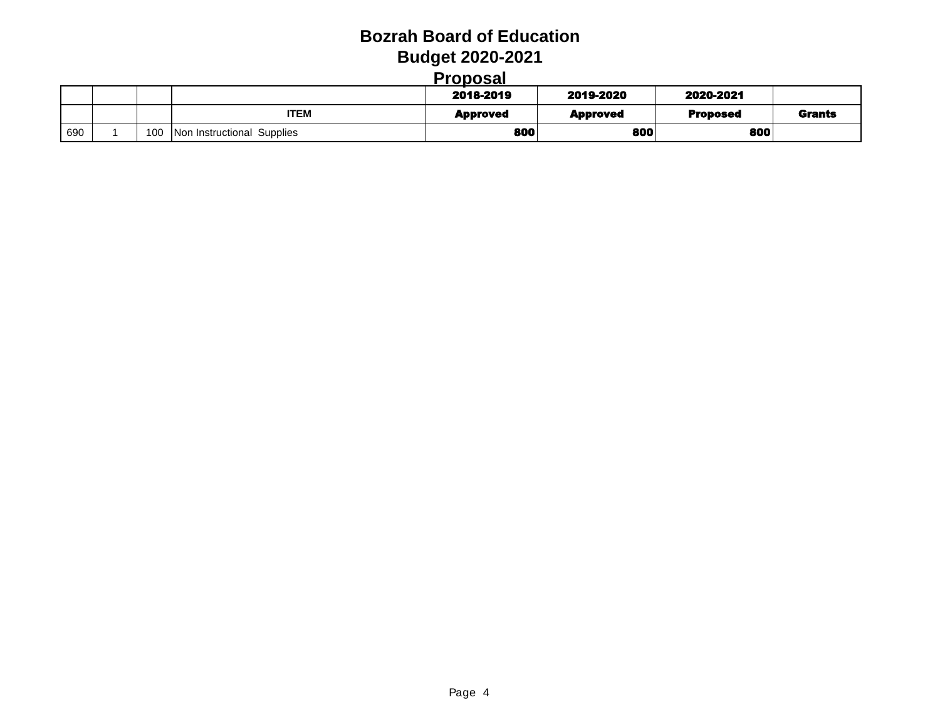| roposal |
|---------|
|         |

|              |     |                            | 2018-2019       | 2019-2020       | 2020-2021       |               |
|--------------|-----|----------------------------|-----------------|-----------------|-----------------|---------------|
|              |     | <b>ITEM</b>                | <b>Approved</b> | <b>Approved</b> | <b>Proposed</b> | <b>Grants</b> |
| $\sqrt{690}$ | 100 | Non Instructional Supplies | 800             | 800             | 800             |               |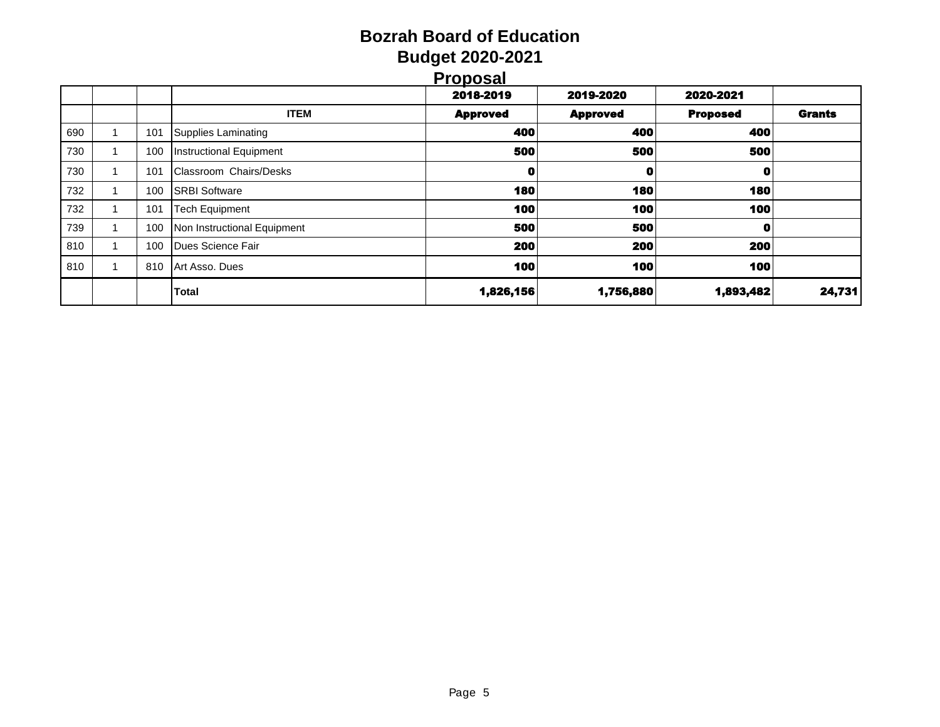| Proposal |
|----------|
|          |

|     |     |                             | <u>.</u>        |                 |                 |               |
|-----|-----|-----------------------------|-----------------|-----------------|-----------------|---------------|
|     |     |                             | 2018-2019       | 2019-2020       | 2020-2021       |               |
|     |     | <b>ITEM</b>                 | <b>Approved</b> | <b>Approved</b> | <b>Proposed</b> | <b>Grants</b> |
| 690 | 101 | Supplies Laminating         | 400             | 400             | 400             |               |
| 730 | 100 | Instructional Equipment     | 500             | 500             | 500             |               |
| 730 | 101 | Classroom Chairs/Desks      | 0               | 0               | O               |               |
| 732 | 100 | <b>SRBI Software</b>        | 180             | 180             | 180             |               |
| 732 | 101 | <b>Tech Equipment</b>       | 100             | 100             | 100             |               |
| 739 | 100 | Non Instructional Equipment | 500             | 500             | 0               |               |
| 810 | 100 | Dues Science Fair           | 200             | 200             | 200             |               |
| 810 | 810 | Art Asso, Dues              | 100             | 100             | 100             |               |
|     |     | <b>Total</b>                | 1,826,156       | 1,756,880       | 1,893,482       | 24,731        |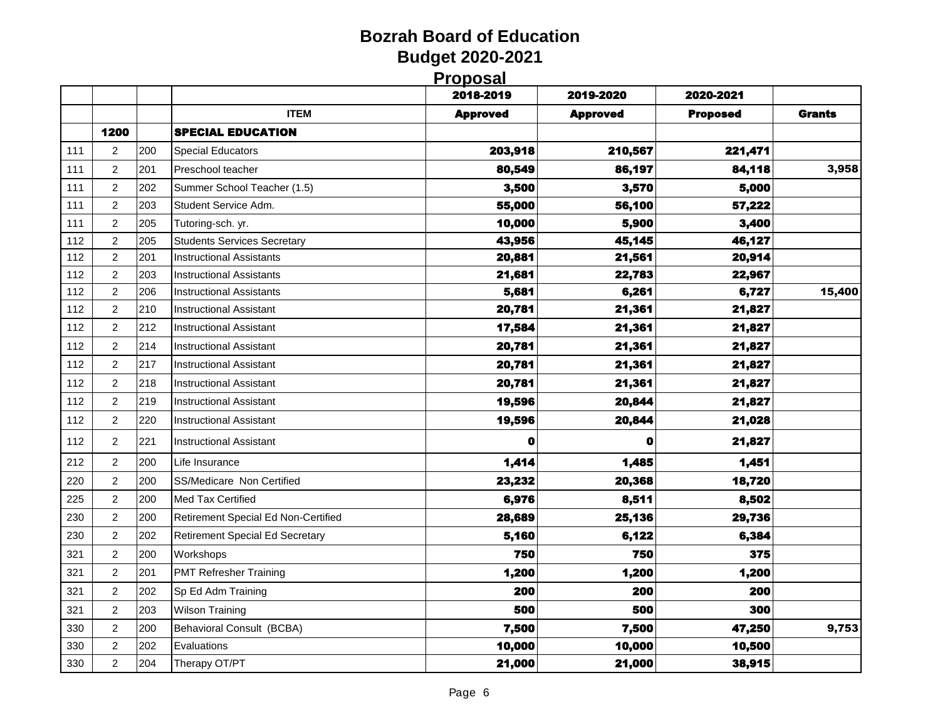| Proposal |
|----------|
|          |

|     |                  |     |                                        | .<br>2018-2019  | 2019-2020       | 2020-2021       |               |
|-----|------------------|-----|----------------------------------------|-----------------|-----------------|-----------------|---------------|
|     |                  |     | <b>ITEM</b>                            | <b>Approved</b> | <b>Approved</b> | <b>Proposed</b> | <b>Grants</b> |
|     | 1200             |     | <b>SPECIAL EDUCATION</b>               |                 |                 |                 |               |
| 111 | $\boldsymbol{2}$ | 200 | <b>Special Educators</b>               | 203,918         | 210,567         | 221,471         |               |
| 111 | $\overline{c}$   | 201 | Preschool teacher                      | 80,549          | 86,197          | 84,118          | 3,958         |
| 111 | $\overline{c}$   | 202 | Summer School Teacher (1.5)            | 3,500           | 3,570           | 5,000           |               |
| 111 | $\overline{c}$   | 203 | Student Service Adm.                   | 55,000          | 56,100          | 57,222          |               |
| 111 | $\overline{c}$   | 205 | Tutoring-sch. yr.                      | 10,000          | 5,900           | 3,400           |               |
| 112 | $\overline{c}$   | 205 | <b>Students Services Secretary</b>     | 43,956          | 45,145          | 46,127          |               |
| 112 | $\overline{c}$   | 201 | <b>Instructional Assistants</b>        | 20,881          | 21,561          | 20,914          |               |
| 112 | $\boldsymbol{2}$ | 203 | Instructional Assistants               | 21,681          | 22,783          | 22,967          |               |
| 112 | $\overline{c}$   | 206 | Instructional Assistants               | 5,681           | 6,261           | 6,727           | 15,400        |
| 112 | $\overline{c}$   | 210 | <b>Instructional Assistant</b>         | 20,781          | 21,361          | 21,827          |               |
| 112 | $\overline{2}$   | 212 | Instructional Assistant                | 17,584          | 21,361          | 21,827          |               |
| 112 | 2                | 214 | Instructional Assistant                | 20,781          | 21,361          | 21,827          |               |
| 112 | $\boldsymbol{2}$ | 217 | <b>Instructional Assistant</b>         | 20,781          | 21,361          | 21,827          |               |
| 112 | $\overline{c}$   | 218 | Instructional Assistant                | 20,781          | 21,361          | 21,827          |               |
| 112 | $\overline{c}$   | 219 | <b>Instructional Assistant</b>         | 19,596          | 20,844          | 21,827          |               |
| 112 | $\overline{2}$   | 220 | <b>Instructional Assistant</b>         | 19,596          | 20,844          | 21,028          |               |
| 112 | 2                | 221 | <b>Instructional Assistant</b>         | 0               | 0               | 21,827          |               |
| 212 | $\overline{c}$   | 200 | Life Insurance                         | 1,414           | 1,485           | 1,451           |               |
| 220 | $\boldsymbol{2}$ | 200 | SS/Medicare Non Certified              | 23,232          | 20,368          | 18,720          |               |
| 225 | $\overline{2}$   | 200 | Med Tax Certified                      | 6,976           | 8,511           | 8,502           |               |
| 230 | $\overline{2}$   | 200 | Retirement Special Ed Non-Certified    | 28,689          | 25,136          | 29,736          |               |
| 230 | $\overline{c}$   | 202 | <b>Retirement Special Ed Secretary</b> | 5,160           | 6,122           | 6,384           |               |
| 321 | $\overline{c}$   | 200 | Workshops                              | 750             | 750             | 375             |               |
| 321 | $\overline{2}$   | 201 | <b>PMT Refresher Training</b>          | 1,200           | 1,200           | 1,200           |               |
| 321 | 2                | 202 | Sp Ed Adm Training                     | 200             | 200             | 200             |               |
| 321 | 2                | 203 | <b>Wilson Training</b>                 | 500             | 500             | 300             |               |
| 330 | $\overline{c}$   | 200 | Behavioral Consult (BCBA)              | 7,500           | 7,500           | 47,250          | 9,753         |
| 330 | $\overline{c}$   | 202 | Evaluations                            | 10,000          | 10,000          | 10,500          |               |
| 330 | $\overline{c}$   | 204 | Therapy OT/PT                          | 21,000          | 21,000          | 38,915          |               |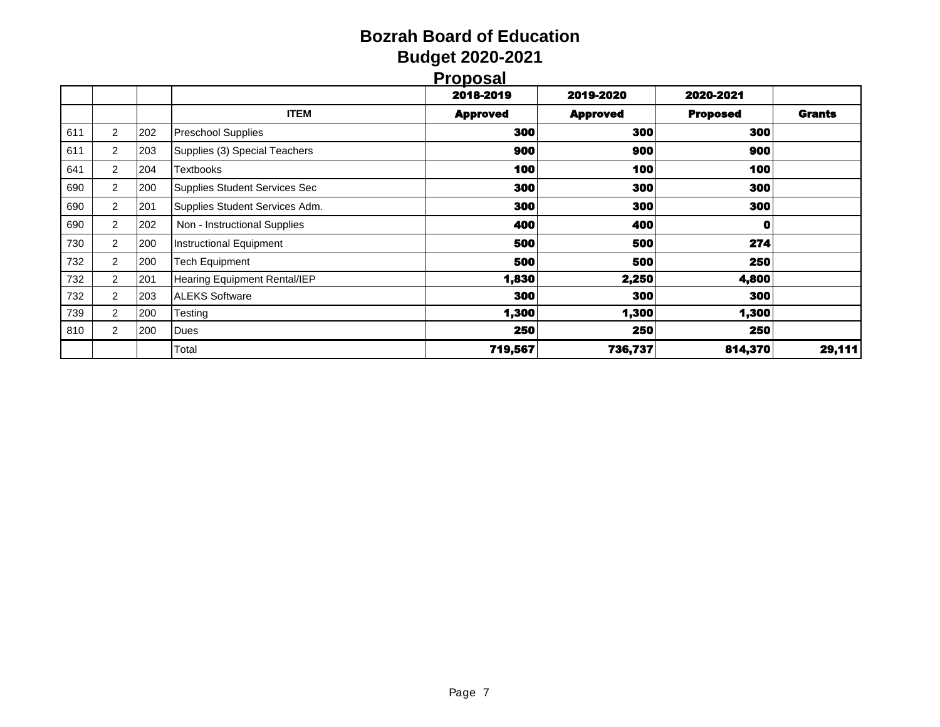| ۱<br>r | ١ |  |
|--------|---|--|
|        |   |  |

|     |                |     |                                     | <u>.</u>        |                 |                 |               |
|-----|----------------|-----|-------------------------------------|-----------------|-----------------|-----------------|---------------|
|     |                |     |                                     | 2018-2019       | 2019-2020       | 2020-2021       |               |
|     |                |     | <b>ITEM</b>                         | <b>Approved</b> | <b>Approved</b> | <b>Proposed</b> | <b>Grants</b> |
| 611 | $\overline{2}$ | 202 | <b>Preschool Supplies</b>           | 300             | 300             | <b>300</b>      |               |
| 611 | 2              | 203 | Supplies (3) Special Teachers       | 900             | 900             | 900             |               |
| 641 | $\overline{2}$ | 204 | Textbooks                           | 100             | 100             | 100             |               |
| 690 | 2              | 200 | Supplies Student Services Sec       | 300             | 300             | 300             |               |
| 690 | 2              | 201 | Supplies Student Services Adm.      | 300             | 300             | 300             |               |
| 690 | 2              | 202 | Non - Instructional Supplies        | 400             | 400             | $\mathbf 0$     |               |
| 730 | 2              | 200 | <b>Instructional Equipment</b>      | 500             | 500             | 274             |               |
| 732 | 2              | 200 | Tech Equipment                      | 500             | 500             | 250             |               |
| 732 | $\overline{2}$ | 201 | <b>Hearing Equipment Rental/IEP</b> | 1,830           | 2,250           | 4,800           |               |
| 732 | 2              | 203 | <b>ALEKS Software</b>               | 300             | 300             | 300             |               |
| 739 | $\overline{2}$ | 200 | Testing                             | 1,300           | 1,300           | 1,300           |               |
| 810 | $\overline{2}$ | 200 | Dues                                | 250             | 250             | 250             |               |
|     |                |     | Total                               | 719,567         | 736,737         | 814,370         | 29,111        |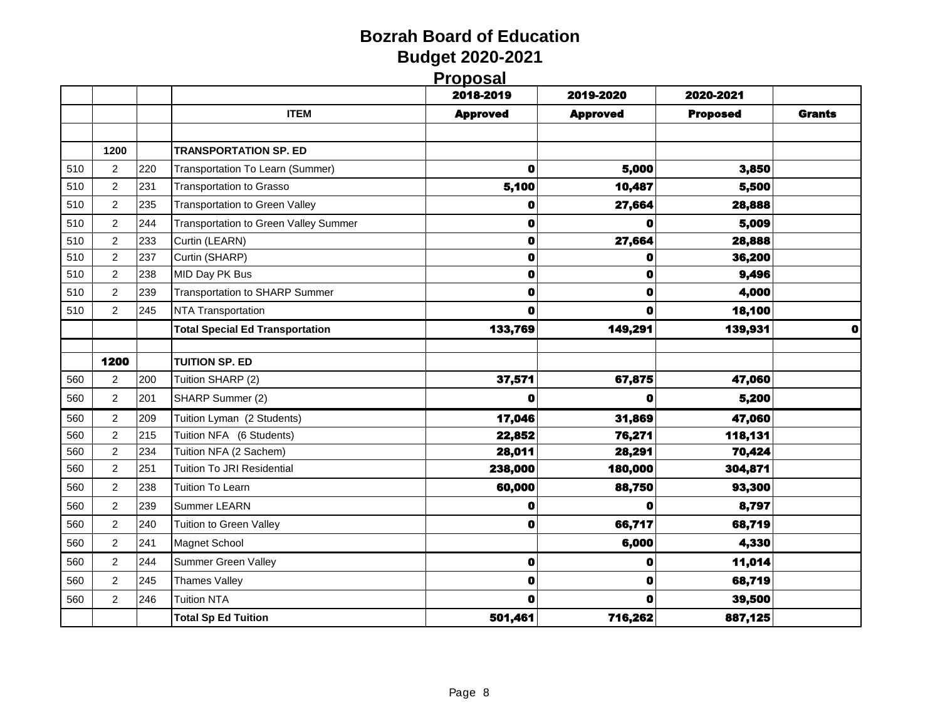**Proposal**

|     |                |     |                                              | 2018-2019       | 2019-2020       | 2020-2021       |               |
|-----|----------------|-----|----------------------------------------------|-----------------|-----------------|-----------------|---------------|
|     |                |     | <b>ITEM</b>                                  | <b>Approved</b> | <b>Approved</b> | <b>Proposed</b> | <b>Grants</b> |
|     |                |     |                                              |                 |                 |                 |               |
|     | 1200           |     | <b>TRANSPORTATION SP. ED</b>                 |                 |                 |                 |               |
| 510 | $\overline{2}$ | 220 | Transportation To Learn (Summer)             | $\mathbf 0$     | 5,000           | 3,850           |               |
| 510 | 2              | 231 | <b>Transportation to Grasso</b>              | 5,100           | 10,487          | 5,500           |               |
| 510 | 2              | 235 | <b>Transportation to Green Valley</b>        | 0               | 27,664          | 28,888          |               |
| 510 | $\overline{c}$ | 244 | <b>Transportation to Green Valley Summer</b> | 0               |                 | 5,009           |               |
| 510 | $\overline{2}$ | 233 | Curtin (LEARN)                               | $\mathbf 0$     | 27,664          | 28,888          |               |
| 510 | $\overline{2}$ | 237 | Curtin (SHARP)                               | O               | 0               | 36,200          |               |
| 510 | $\overline{2}$ | 238 | MID Day PK Bus                               | $\mathbf 0$     | 0               | 9,496           |               |
| 510 | 2              | 239 | <b>Transportation to SHARP Summer</b>        | O               | 0               | 4,000           |               |
| 510 | 2              | 245 | <b>NTA Transportation</b>                    | O               | Ω               | 18,100          |               |
|     |                |     | <b>Total Special Ed Transportation</b>       | 133,769         | 149,291         | 139,931         | $\mathbf o$   |
|     |                |     |                                              |                 |                 |                 |               |
|     | 1200           |     | <b>TUITION SP. ED</b>                        |                 |                 |                 |               |
| 560 | $\overline{c}$ | 200 | Tuition SHARP (2)                            | 37,571          | 67,875          | 47,060          |               |
| 560 | 2              | 201 | SHARP Summer (2)                             | O               | o               | 5,200           |               |
| 560 | 2              | 209 | Tuition Lyman (2 Students)                   | 17,046          | 31,869          | 47,060          |               |
| 560 | $\overline{c}$ | 215 | Tuition NFA (6 Students)                     | 22,852          | 76,271          | 118,131         |               |
| 560 | $\overline{2}$ | 234 | Tuition NFA (2 Sachem)                       | 28,011          | 28,291          | 70,424          |               |
| 560 | $\overline{2}$ | 251 | <b>Tuition To JRI Residential</b>            | 238,000         | 180,000         | 304,871         |               |
| 560 | $\overline{c}$ | 238 | <b>Tuition To Learn</b>                      | 60,000          | 88,750          | 93,300          |               |
| 560 | 2              | 239 | Summer LEARN                                 | 0               | 0               | 8,797           |               |
| 560 | 2              | 240 | Tuition to Green Valley                      | 0               | 66,717          | 68,719          |               |
| 560 | 2              | 241 | Magnet School                                |                 | 6,000           | 4,330           |               |
| 560 | $\overline{2}$ | 244 | <b>Summer Green Valley</b>                   | $\bullet$       | 0               | 11,014          |               |
| 560 | 2              | 245 | <b>Thames Valley</b>                         | $\mathbf 0$     | 0               | 68,719          |               |
| 560 | $\overline{c}$ | 246 | <b>Tuition NTA</b>                           | 0               | 0               | 39,500          |               |
|     |                |     | <b>Total Sp Ed Tuition</b>                   | 501,461         | 716,262         | 887,125         |               |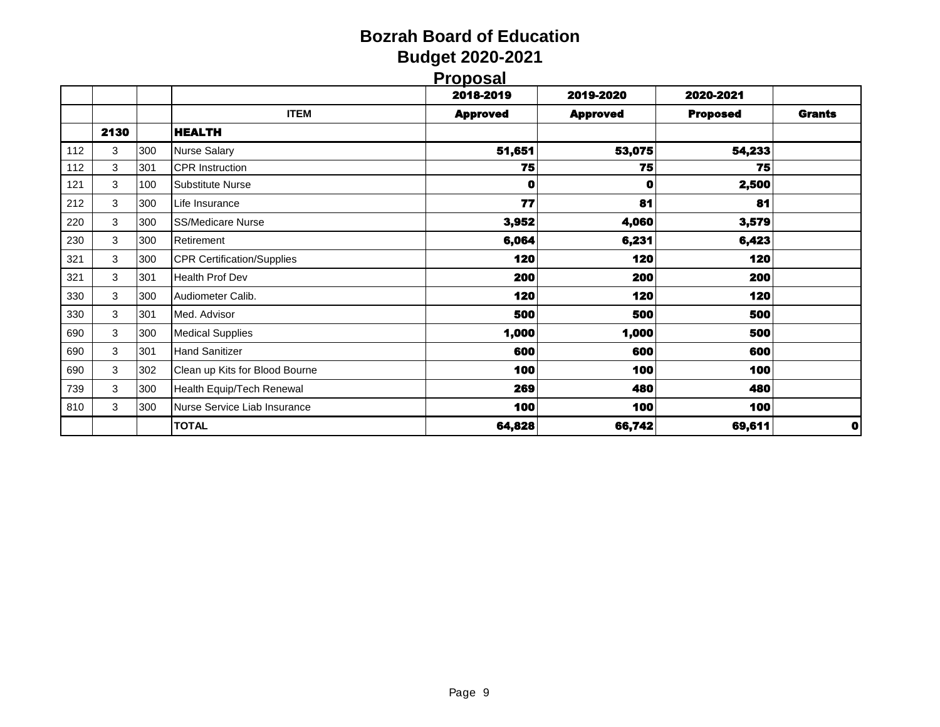| <b>Proposal</b> |  |  |
|-----------------|--|--|
|                 |  |  |

|     |      |     |                                   | .<br>2018-2019  | 2019-2020       | 2020-2021       |               |
|-----|------|-----|-----------------------------------|-----------------|-----------------|-----------------|---------------|
|     |      |     | <b>ITEM</b>                       | <b>Approved</b> | <b>Approved</b> | <b>Proposed</b> | <b>Grants</b> |
|     | 2130 |     | <b>HEALTH</b>                     |                 |                 |                 |               |
| 112 | 3    | 300 | <b>Nurse Salary</b>               | 51,651          | 53,075          | 54,233          |               |
| 112 | 3    | 301 | <b>CPR</b> Instruction            | 75              | 75              | 75              |               |
| 121 | 3    | 100 | <b>Substitute Nurse</b>           | 0               | 0               | 2,500           |               |
| 212 | 3    | 300 | Life Insurance                    | 77              | 81              | 81              |               |
| 220 | 3    | 300 | <b>SS/Medicare Nurse</b>          | 3,952           | 4,060           | 3,579           |               |
| 230 | 3    | 300 | Retirement                        | 6,064           | 6,231           | 6,423           |               |
| 321 | 3    | 300 | <b>CPR Certification/Supplies</b> | 120             | 120             | 120             |               |
| 321 | 3    | 301 | Health Prof Dev                   | 200             | 200             | 200             |               |
| 330 | 3    | 300 | Audiometer Calib.                 | 120             | 120             | 120             |               |
| 330 | 3    | 301 | Med. Advisor                      | 500             | 500             | 500             |               |
| 690 | 3    | 300 | <b>Medical Supplies</b>           | 1,000           | 1,000           | 500             |               |
| 690 | 3    | 301 | <b>Hand Sanitizer</b>             | 600             | 600             | 600             |               |
| 690 | 3    | 302 | Clean up Kits for Blood Bourne    | 100             | 100             | 100             |               |
| 739 | 3    | 300 | Health Equip/Tech Renewal         | 269             | 480             | 480             |               |
| 810 | 3    | 300 | Nurse Service Liab Insurance      | 100             | 100             | 100             |               |
|     |      |     | <b>TOTAL</b>                      | 64,828          | 66,742          | 69,611          | $\mathbf 0$   |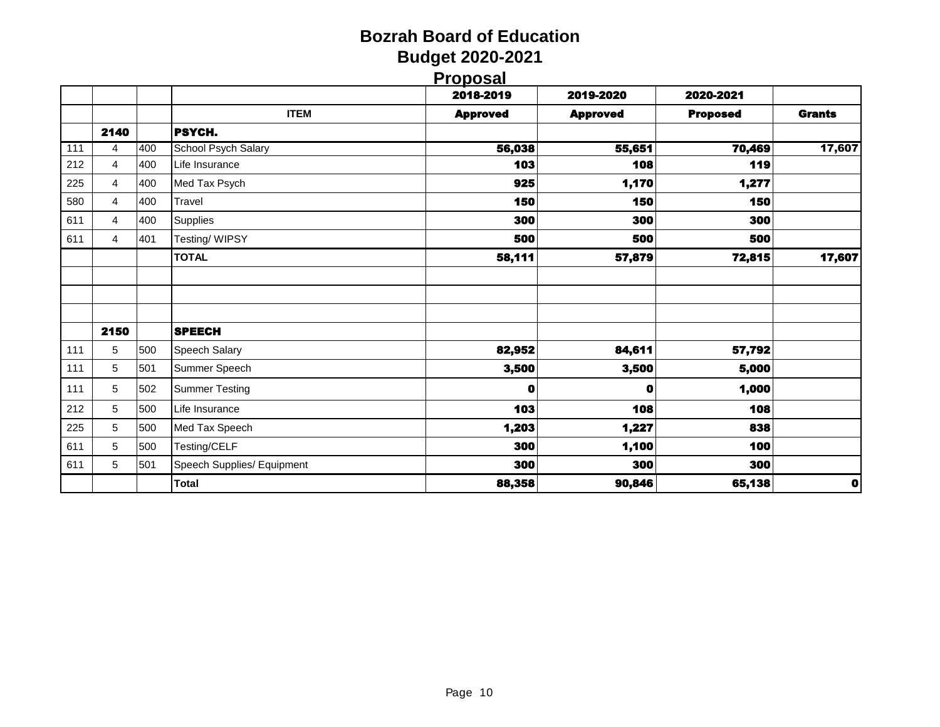|     |      |     |                            | <b>Proposal</b> |                 |                 |               |
|-----|------|-----|----------------------------|-----------------|-----------------|-----------------|---------------|
|     |      |     |                            | 2018-2019       | 2019-2020       | 2020-2021       |               |
|     |      |     | <b>ITEM</b>                | <b>Approved</b> | <b>Approved</b> | <b>Proposed</b> | <b>Grants</b> |
|     | 2140 |     | PSYCH.                     |                 |                 |                 |               |
| 111 | 4    | 400 | School Psych Salary        | 56,038          | 55,651          | 70,469          | 17,607        |
| 212 | 4    | 400 | Life Insurance             | 103             | 108             | 119             |               |
| 225 | 4    | 400 | Med Tax Psych              | 925             | 1,170           | 1,277           |               |
| 580 | 4    | 400 | Travel                     | 150             | 150             | 150             |               |
| 611 | 4    | 400 | <b>Supplies</b>            | 300             | 300             | 300             |               |
| 611 | 4    | 401 | Testing/WIPSY              | 500             | 500             | 500             |               |
|     |      |     | <b>TOTAL</b>               | 58,111          | 57,879          | 72,815          | 17,607        |
|     |      |     |                            |                 |                 |                 |               |
|     |      |     |                            |                 |                 |                 |               |
|     |      |     |                            |                 |                 |                 |               |
|     | 2150 |     | <b>SPEECH</b>              |                 |                 |                 |               |
| 111 | 5    | 500 | Speech Salary              | 82,952          | 84,611          | 57,792          |               |
| 111 | 5    | 501 | Summer Speech              | 3,500           | 3,500           | 5,000           |               |
| 111 | 5    | 502 | <b>Summer Testing</b>      | 0               | O               | 1,000           |               |
| 212 | 5    | 500 | Life Insurance             | 103             | 108             | 108             |               |
| 225 | 5    | 500 | Med Tax Speech             | 1,203           | 1,227           | 838             |               |
| 611 | 5    | 500 | Testing/CELF               | 300             | 1,100           | 100             |               |
| 611 | 5    | 501 | Speech Supplies/ Equipment | 300             | 300             | 300             |               |
|     |      |     | <b>Total</b>               | 88,358          | 90,846          | 65,138          | $\bullet$     |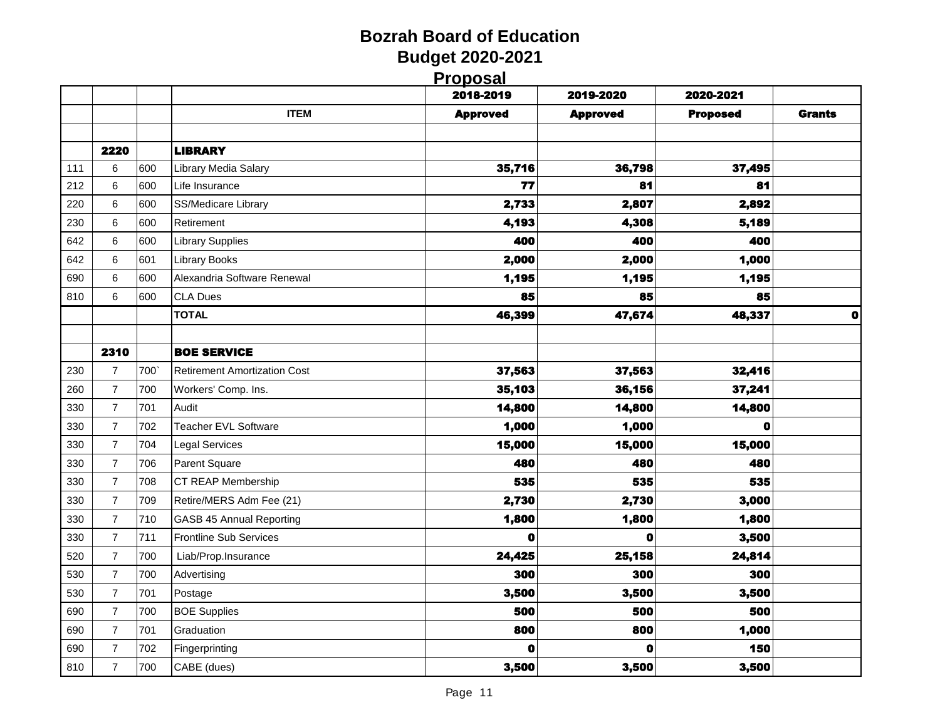|  | <b>Proposal</b> |  |
|--|-----------------|--|

|     |                  |     |                                     | <u>і і орозаі</u><br>2018-2019 | 2019-2020       | 2020-2021       |               |
|-----|------------------|-----|-------------------------------------|--------------------------------|-----------------|-----------------|---------------|
|     |                  |     | <b>ITEM</b>                         | <b>Approved</b>                | <b>Approved</b> | <b>Proposed</b> | <b>Grants</b> |
|     |                  |     |                                     |                                |                 |                 |               |
|     | 2220             |     | <b>LIBRARY</b>                      |                                |                 |                 |               |
| 111 | 6                | 600 | Library Media Salary                | 35,716                         | 36,798          | 37,495          |               |
| 212 | 6                | 600 | Life Insurance                      | 77                             | 81              | 81              |               |
| 220 | 6                | 600 | SS/Medicare Library                 | 2,733                          | 2,807           | 2,892           |               |
| 230 | 6                | 600 | Retirement                          | 4,193                          | 4,308           | 5,189           |               |
| 642 | 6                | 600 | <b>Library Supplies</b>             | 400                            | 400             | 400             |               |
| 642 | 6                | 601 | <b>Library Books</b>                | 2,000                          | 2,000           | 1,000           |               |
| 690 | 6                | 600 | Alexandria Software Renewal         | 1,195                          | 1,195           | 1,195           |               |
| 810 | 6                | 600 | <b>CLA Dues</b>                     | 85                             | 85              | 85              |               |
|     |                  |     | <b>TOTAL</b>                        | 46,399                         | 47,674          | 48,337          | $\bullet$     |
|     |                  |     |                                     |                                |                 |                 |               |
|     | 2310             |     | <b>BOE SERVICE</b>                  |                                |                 |                 |               |
| 230 | $\boldsymbol{7}$ | 700 | <b>Retirement Amortization Cost</b> | 37,563                         | 37,563          | 32,416          |               |
| 260 | $\overline{7}$   | 700 | Workers' Comp. Ins.                 | 35,103                         | 36,156          | 37,241          |               |
| 330 | $\overline{7}$   | 701 | Audit                               | 14,800                         | 14,800          | 14,800          |               |
| 330 | $\overline{7}$   | 702 | Teacher EVL Software                | 1,000                          | 1,000           | 0               |               |
| 330 | $\overline{7}$   | 704 | <b>Legal Services</b>               | 15,000                         | 15,000          | 15,000          |               |
| 330 | $\overline{7}$   | 706 | Parent Square                       | 480                            | 480             | 480             |               |
| 330 | $\overline{7}$   | 708 | CT REAP Membership                  | 535                            | 535             | 535             |               |
| 330 | $\overline{7}$   | 709 | Retire/MERS Adm Fee (21)            | 2,730                          | 2,730           | 3,000           |               |
| 330 | $\overline{7}$   | 710 | <b>GASB 45 Annual Reporting</b>     | 1,800                          | 1,800           | 1,800           |               |
| 330 | $\overline{7}$   | 711 | <b>Frontline Sub Services</b>       | 0                              | 0               | 3,500           |               |
| 520 | $\overline{7}$   | 700 | Liab/Prop.Insurance                 | 24,425                         | 25,158          | 24,814          |               |
| 530 | $\overline{7}$   | 700 | Advertising                         | 300                            | 300             | 300             |               |
| 530 | $\overline{7}$   | 701 | Postage                             | 3,500                          | 3,500           | 3,500           |               |
| 690 | $\overline{7}$   | 700 | <b>BOE Supplies</b>                 | 500                            | 500             | 500             |               |
| 690 | $\overline{7}$   | 701 | Graduation                          | 800                            | 800             | 1,000           |               |
| 690 | $\boldsymbol{7}$ | 702 | Fingerprinting                      | $\mathbf 0$                    | o               | 150             |               |
| 810 | $\overline{7}$   | 700 | CABE (dues)                         | 3,500                          | 3,500           | 3,500           |               |
|     |                  |     |                                     |                                |                 |                 |               |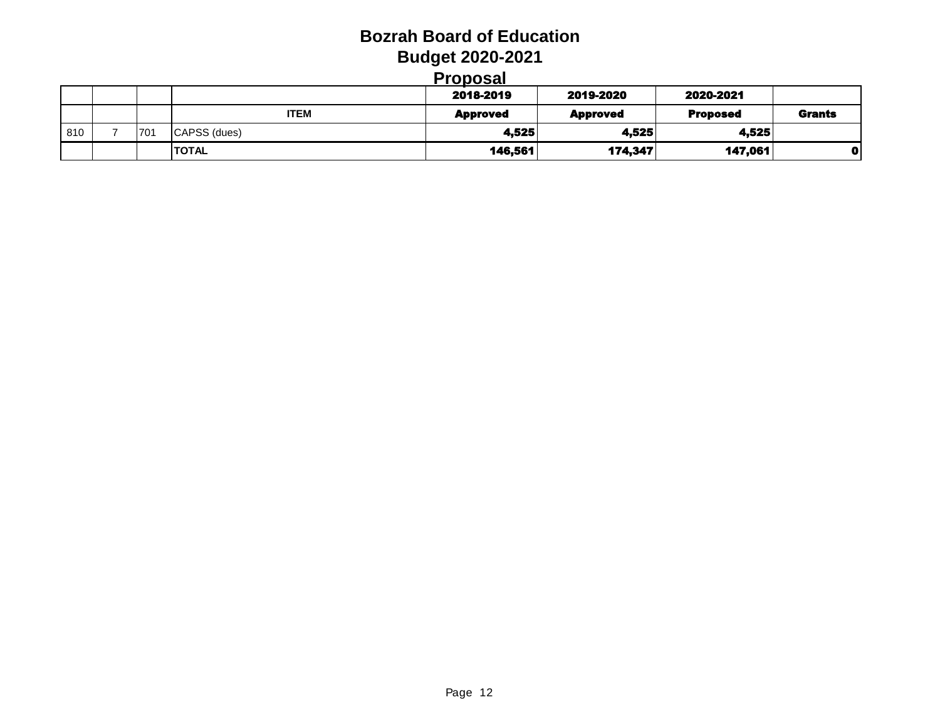#### **Proposal**

|     |     |              | ---------<br>2018-2019 | 2019-2020       | 2020-2021       |               |
|-----|-----|--------------|------------------------|-----------------|-----------------|---------------|
|     |     | <b>ITEM</b>  | <b>Approved</b>        | <b>Approved</b> | <b>Proposed</b> | <b>Grants</b> |
| 810 | 701 | CAPSS (dues) | 4.525                  | 4,525           | 4,525           |               |
|     |     | <b>TOTAL</b> | 146,561                | 174,347         | 147,061         |               |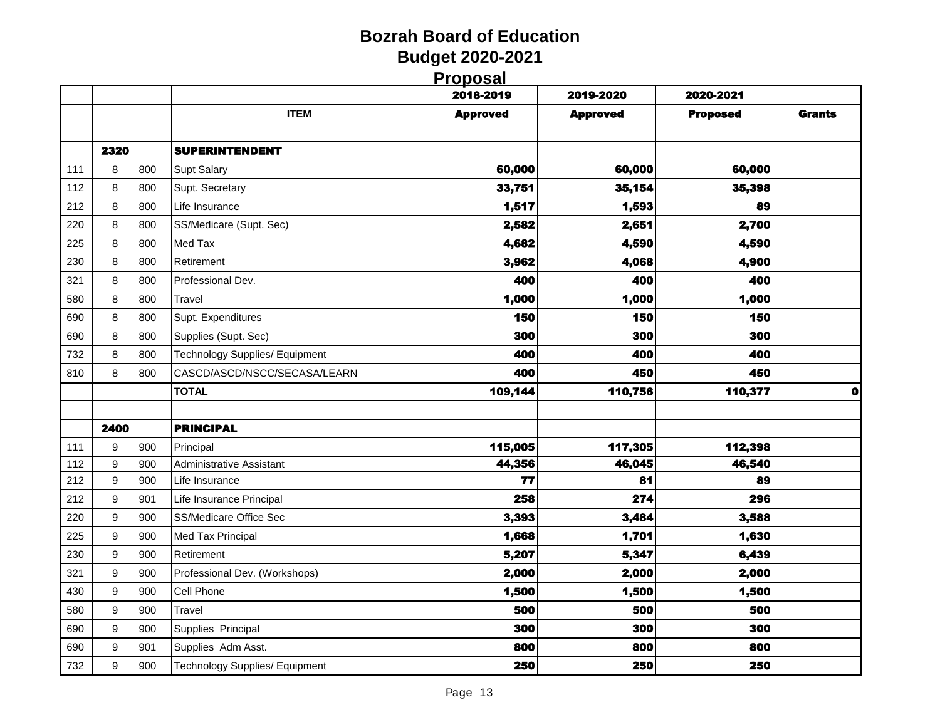|     |                  |     |                                       | <u>і і орозаі</u><br>2018-2019 | 2019-2020       | 2020-2021       |               |
|-----|------------------|-----|---------------------------------------|--------------------------------|-----------------|-----------------|---------------|
|     |                  |     | <b>ITEM</b>                           | <b>Approved</b>                | <b>Approved</b> | <b>Proposed</b> | <b>Grants</b> |
|     |                  |     |                                       |                                |                 |                 |               |
|     | 2320             |     | <b>SUPERINTENDENT</b>                 |                                |                 |                 |               |
| 111 | 8                | 800 | Supt Salary                           | 60,000                         | 60,000          | 60,000          |               |
| 112 | 8                | 800 | Supt. Secretary                       | 33,751                         | 35,154          | 35,398          |               |
| 212 | 8                | 800 | Life Insurance                        | 1,517                          | 1,593           | 89              |               |
| 220 | 8                | 800 | SS/Medicare (Supt. Sec)               | 2,582                          | 2,651           | 2,700           |               |
| 225 | 8                | 800 | Med Tax                               | 4,682                          | 4,590           | 4,590           |               |
| 230 | 8                | 800 | Retirement                            | 3,962                          | 4,068           | 4,900           |               |
| 321 | 8                | 800 | Professional Dev.                     | 400                            | 400             | 400             |               |
| 580 | 8                | 800 | Travel                                | 1,000                          | 1,000           | 1,000           |               |
| 690 | 8                | 800 | Supt. Expenditures                    | 150                            | 150             | 150             |               |
| 690 | 8                | 800 | Supplies (Supt. Sec)                  | 300                            | 300             | 300             |               |
| 732 | 8                | 800 | <b>Technology Supplies/ Equipment</b> | 400                            | 400             | 400             |               |
| 810 | 8                | 800 | CASCD/ASCD/NSCC/SECASA/LEARN          | 400                            | 450             | 450             |               |
|     |                  |     | <b>TOTAL</b>                          | 109,144                        | 110,756         | 110,377         | $\bullet$     |
|     |                  |     |                                       |                                |                 |                 |               |
|     | 2400             |     | <b>PRINCIPAL</b>                      |                                |                 |                 |               |
| 111 | 9                | 900 | Principal                             | 115,005                        | 117,305         | 112,398         |               |
| 112 | 9                | 900 | Administrative Assistant              | 44,356                         | 46,045          | 46,540          |               |
| 212 | $\boldsymbol{9}$ | 900 | Life Insurance                        | 77                             | 81              | 89              |               |
| 212 | 9                | 901 | Life Insurance Principal              | 258                            | 274             | 296             |               |
| 220 | 9                | 900 | SS/Medicare Office Sec                | 3,393                          | 3,484           | 3,588           |               |
| 225 | 9                | 900 | Med Tax Principal                     | 1,668                          | 1,701           | 1,630           |               |
| 230 | 9                | 900 | Retirement                            | 5,207                          | 5,347           | 6,439           |               |
| 321 | 9                | 900 | Professional Dev. (Workshops)         | 2,000                          | 2,000           | 2,000           |               |
| 430 | 9                | 900 | Cell Phone                            | 1,500                          | 1,500           | 1,500           |               |
| 580 | 9                | 900 | Travel                                | 500                            | 500             | 500             |               |
| 690 | 9                | 900 | Supplies Principal                    | 300                            | 300             | 300             |               |
|     | 9                | 901 | Supplies Adm Asst.                    | 800                            | 800             | 800             |               |
| 690 |                  |     |                                       |                                |                 |                 |               |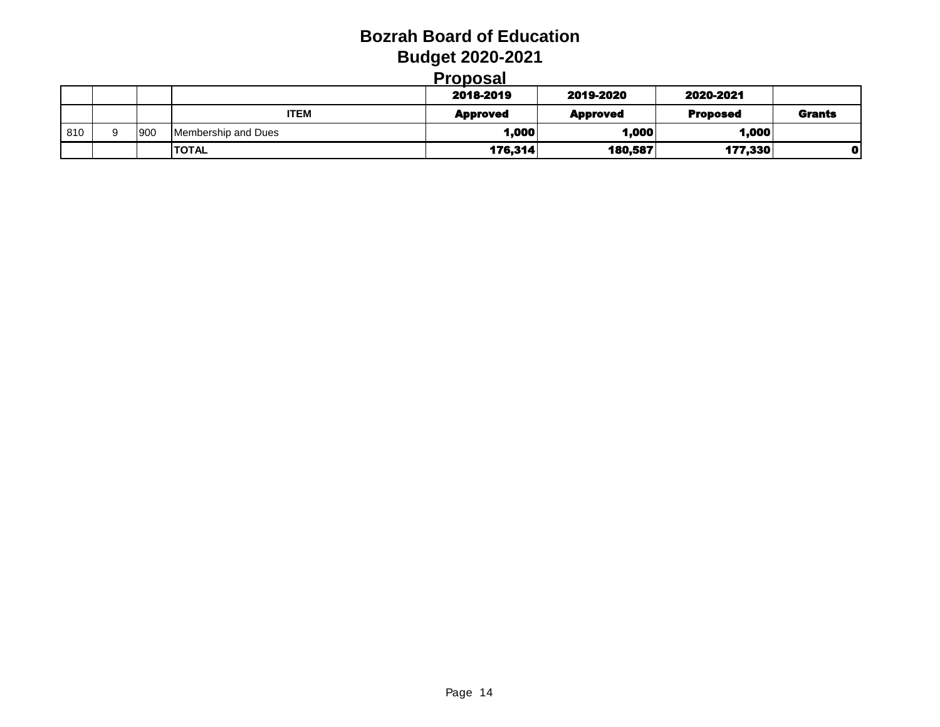#### **Proposal**

|      |     |                     | 2018-2019       | 2019-2020       | 2020-2021       |               |
|------|-----|---------------------|-----------------|-----------------|-----------------|---------------|
|      |     | <b>ITEM</b>         | <b>Approved</b> | <b>Approved</b> | <b>Proposed</b> | <b>Grants</b> |
| .810 | 900 | Membership and Dues | 1,000           | 1,000           | 1,000           |               |
|      |     | <b>TOTAL</b>        | 176,314         | 180,587         | 177,330         |               |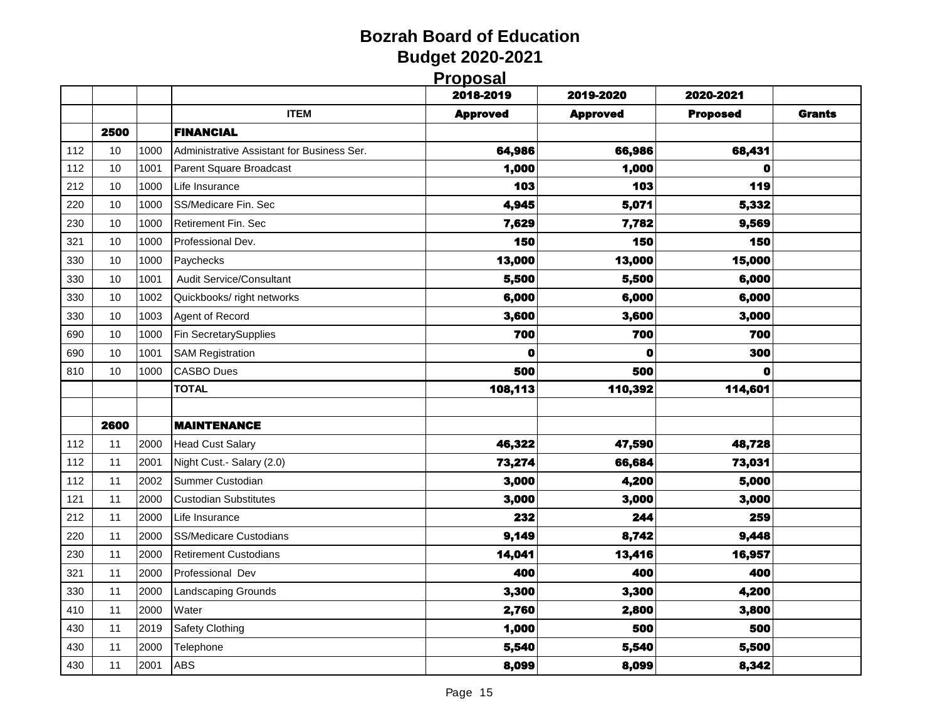|  | Proposal |  |
|--|----------|--|
|  |          |  |

|     |      |      |                                            | <u>і і орозаі</u><br>2018-2019 | 2019-2020       | 2020-2021       |               |
|-----|------|------|--------------------------------------------|--------------------------------|-----------------|-----------------|---------------|
|     |      |      | <b>ITEM</b>                                | <b>Approved</b>                | <b>Approved</b> | <b>Proposed</b> | <b>Grants</b> |
|     | 2500 |      | <b>FINANCIAL</b>                           |                                |                 |                 |               |
| 112 | 10   | 1000 | Administrative Assistant for Business Ser. | 64,986                         | 66,986          | 68,431          |               |
| 112 | 10   | 1001 | Parent Square Broadcast                    | 1,000                          | 1,000           | 0               |               |
| 212 | 10   | 1000 | Life Insurance                             | 103                            | 103             | 119             |               |
| 220 | 10   | 1000 | SS/Medicare Fin. Sec                       | 4,945                          | 5,071           | 5,332           |               |
| 230 | 10   | 1000 | Retirement Fin. Sec                        | 7,629                          | 7,782           | 9,569           |               |
| 321 | 10   | 1000 | Professional Dev.                          | 150                            | 150             | 150             |               |
| 330 | 10   | 1000 | Paychecks                                  | 13,000                         | 13,000          | 15,000          |               |
| 330 | 10   | 1001 | Audit Service/Consultant                   | 5,500                          | 5,500           | 6,000           |               |
| 330 | 10   | 1002 | Quickbooks/ right networks                 | 6,000                          | 6,000           | 6,000           |               |
| 330 | 10   | 1003 | Agent of Record                            | 3,600                          | 3,600           | 3,000           |               |
| 690 | 10   | 1000 | Fin SecretarySupplies                      | 700                            | 700             | 700             |               |
| 690 | 10   | 1001 | <b>SAM Registration</b>                    | 0                              | $\mathbf o$     | 300             |               |
| 810 | 10   | 1000 | <b>CASBO Dues</b>                          | 500                            | 500             | o               |               |
|     |      |      | <b>TOTAL</b>                               | 108,113                        | 110,392         | 114,601         |               |
|     |      |      |                                            |                                |                 |                 |               |
|     | 2600 |      | <b>MAINTENANCE</b>                         |                                |                 |                 |               |
| 112 | 11   | 2000 | <b>Head Cust Salary</b>                    | 46,322                         | 47,590          | 48,728          |               |
| 112 | 11   | 2001 | Night Cust.- Salary (2.0)                  | 73,274                         | 66,684          | 73,031          |               |
| 112 | 11   | 2002 | Summer Custodian                           | 3,000                          | 4,200           | 5,000           |               |
| 121 | 11   | 2000 | <b>Custodian Substitutes</b>               | 3,000                          | 3,000           | 3,000           |               |
| 212 | 11   | 2000 | Life Insurance                             | 232                            | 244             | 259             |               |
| 220 | 11   | 2000 | <b>SS/Medicare Custodians</b>              | 9,149                          | 8,742           | 9,448           |               |
| 230 | 11   | 2000 | <b>Retirement Custodians</b>               | 14,041                         | 13,416          | 16,957          |               |
| 321 | 11   | 2000 | Professional Dev                           | 400                            | 400             | 400             |               |
| 330 | 11   | 2000 | <b>Landscaping Grounds</b>                 | 3,300                          | 3,300           | 4,200           |               |
| 410 | 11   | 2000 | Water                                      | 2,760                          | 2,800           | 3,800           |               |
| 430 | 11   | 2019 | Safety Clothing                            | 1,000                          | 500             | 500             |               |
| 430 | 11   | 2000 | Telephone                                  | 5,540                          | 5,540           | 5,500           |               |
| 430 | 11   | 2001 | <b>ABS</b>                                 | 8,099                          | 8,099           | 8,342           |               |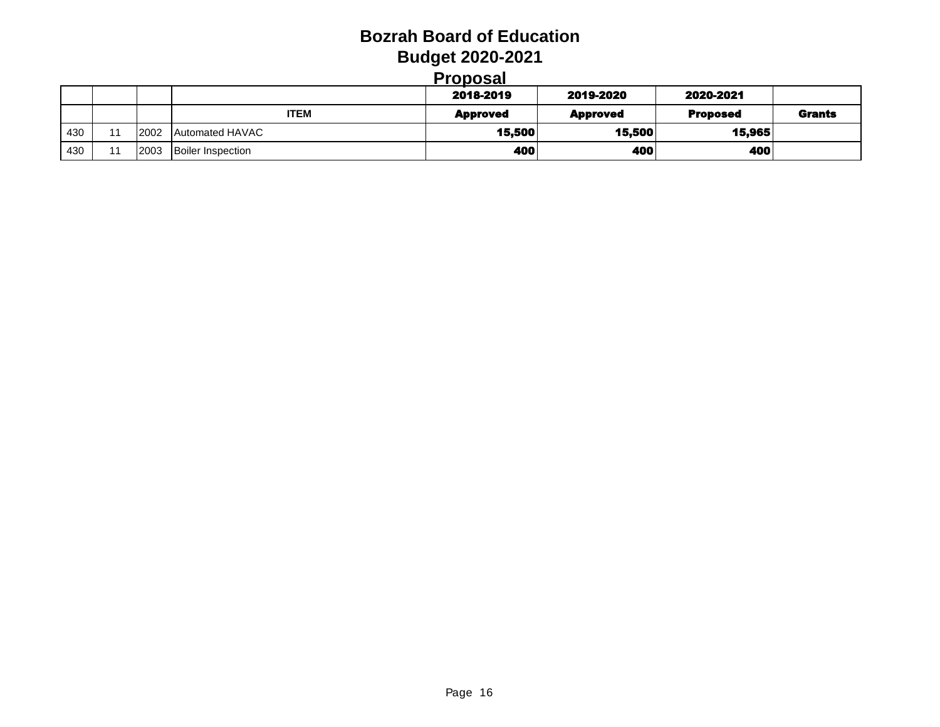| <b>Proposal</b> |
|-----------------|
|-----------------|

|     |    |      |                          | ιυυνσαι         |                 |                 |               |
|-----|----|------|--------------------------|-----------------|-----------------|-----------------|---------------|
|     |    |      |                          | 2018-2019       | 2019-2020       | 2020-2021       |               |
|     |    |      | <b>ITEM</b>              | <b>Approved</b> | <b>Approved</b> | <b>Proposed</b> | <b>Grants</b> |
| 430 | 11 | 2002 | Automated HAVAC          | 15,500          | 15,500          | 15,965          |               |
| 430 | 11 | 2003 | <b>Boiler Inspection</b> | 400             | 400             | 400             |               |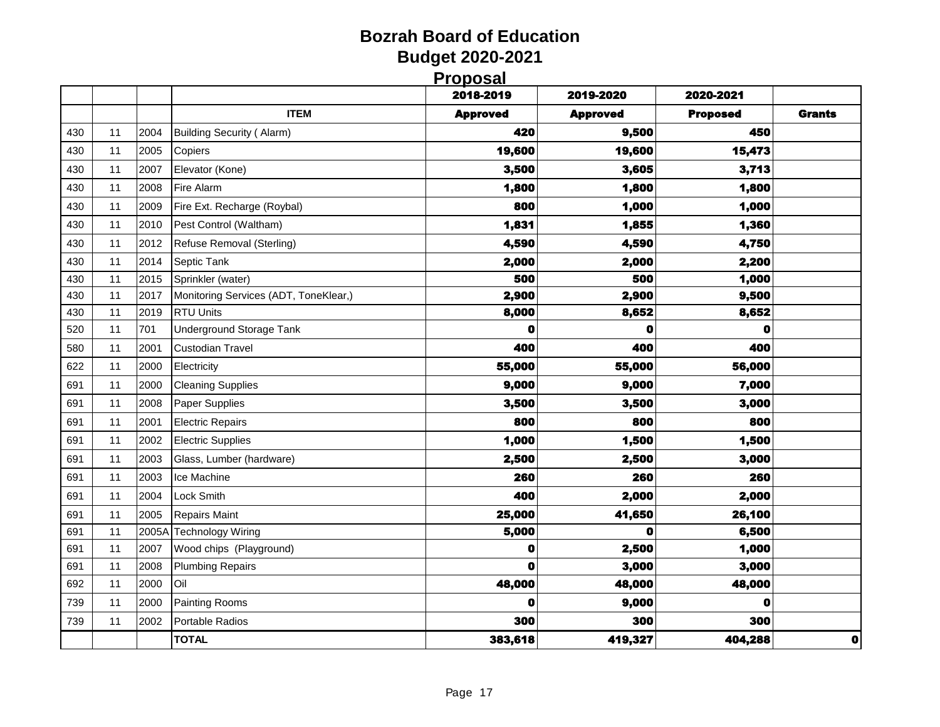| 2018-2019<br>2019-2020<br>2020-2021<br><b>ITEM</b><br><b>Proposed</b><br><b>Grants</b><br><b>Approved</b><br><b>Approved</b><br>420<br>450<br>9,500<br>430<br>2004<br><b>Building Security (Alarm)</b><br>11<br>430<br>2005<br>Copiers<br>19,600<br>19,600<br>15,473<br>11<br>3,500<br>Elevator (Kone)<br>3,605<br>3,713<br>430<br>2007<br>11<br>2008<br>1,800<br>1,800<br>430<br>11<br>Fire Alarm<br>1,800<br>800<br>1,000<br>2009<br>Fire Ext. Recharge (Roybal)<br>1,000<br>430<br>11<br>1,831<br>1,855<br>1,360<br>2010<br>Pest Control (Waltham)<br>430<br>11<br>2012<br>4,590<br>4,750<br>430<br><b>Refuse Removal (Sterling)</b><br>4,590<br>11<br>2014<br>2,000<br>430<br>Septic Tank<br>2,000<br>2,200<br>11<br>500<br>500<br>1,000<br>430<br>2015<br>Sprinkler (water)<br>11<br>2,900<br>9,500<br>2017<br>Monitoring Services (ADT, ToneKlear,)<br>2,900<br>430<br>11<br><b>RTU Units</b><br>8,000<br>8,652<br>8,652<br>430<br>2019<br>11<br>701<br><b>Underground Storage Tank</b><br>520<br>11<br>o<br>0<br>0<br>400<br>400<br>400<br>2001<br>580<br>11<br>Custodian Travel<br>622<br>2000<br>55,000<br>55,000<br>56,000<br>11<br>Electricity<br>2000<br>9,000<br>7,000<br>691<br>11<br><b>Cleaning Supplies</b><br>9,000<br>3,500<br>3,500<br>3,000<br>691<br>2008<br>Paper Supplies<br>11<br>2001<br>800<br>800<br>800<br>691<br>11<br><b>Electric Repairs</b><br>2002<br>1,000<br>1,500<br>1,500<br>691<br>11<br><b>Electric Supplies</b><br>2,500<br>2,500<br>691<br>11<br>2003<br>Glass, Lumber (hardware)<br>3,000<br>2003<br>260<br>260<br>691<br>11<br>Ice Machine<br>260<br>400<br>2,000<br>2004<br>2,000<br>691<br>11<br>Lock Smith<br>691<br>2005<br><b>Repairs Maint</b><br>25,000<br>41,650<br>26,100<br>11<br><b>Technology Wiring</b><br>5,000<br>$\mathbf 0$<br>6,500<br>691<br>2005A<br>11<br>691<br>11<br>2007<br>Wood chips (Playground)<br>O<br>2,500<br>1,000<br>0<br>3,000<br>3,000<br>691<br>11<br>2008<br><b>Plumbing Repairs</b><br>2000<br>Oil<br>48,000<br>48,000<br>692<br>48,000<br>11<br><b>Painting Rooms</b><br>739<br>2000<br>0<br>9,000<br>O<br>11<br>300<br>300<br>300<br>739<br>2002<br>Portable Radios<br>11<br><b>TOTAL</b><br>383,618<br>419,327<br>404,288 |  |  | <b>Proposal</b> |  |           |
|----------------------------------------------------------------------------------------------------------------------------------------------------------------------------------------------------------------------------------------------------------------------------------------------------------------------------------------------------------------------------------------------------------------------------------------------------------------------------------------------------------------------------------------------------------------------------------------------------------------------------------------------------------------------------------------------------------------------------------------------------------------------------------------------------------------------------------------------------------------------------------------------------------------------------------------------------------------------------------------------------------------------------------------------------------------------------------------------------------------------------------------------------------------------------------------------------------------------------------------------------------------------------------------------------------------------------------------------------------------------------------------------------------------------------------------------------------------------------------------------------------------------------------------------------------------------------------------------------------------------------------------------------------------------------------------------------------------------------------------------------------------------------------------------------------------------------------------------------------------------------------------------------------------------------------------------------------------------------------------------------------------------------------------------------------------------------------------------------------------------------------------------------------------------------------------------------------------|--|--|-----------------|--|-----------|
|                                                                                                                                                                                                                                                                                                                                                                                                                                                                                                                                                                                                                                                                                                                                                                                                                                                                                                                                                                                                                                                                                                                                                                                                                                                                                                                                                                                                                                                                                                                                                                                                                                                                                                                                                                                                                                                                                                                                                                                                                                                                                                                                                                                                                |  |  |                 |  |           |
|                                                                                                                                                                                                                                                                                                                                                                                                                                                                                                                                                                                                                                                                                                                                                                                                                                                                                                                                                                                                                                                                                                                                                                                                                                                                                                                                                                                                                                                                                                                                                                                                                                                                                                                                                                                                                                                                                                                                                                                                                                                                                                                                                                                                                |  |  |                 |  |           |
|                                                                                                                                                                                                                                                                                                                                                                                                                                                                                                                                                                                                                                                                                                                                                                                                                                                                                                                                                                                                                                                                                                                                                                                                                                                                                                                                                                                                                                                                                                                                                                                                                                                                                                                                                                                                                                                                                                                                                                                                                                                                                                                                                                                                                |  |  |                 |  |           |
|                                                                                                                                                                                                                                                                                                                                                                                                                                                                                                                                                                                                                                                                                                                                                                                                                                                                                                                                                                                                                                                                                                                                                                                                                                                                                                                                                                                                                                                                                                                                                                                                                                                                                                                                                                                                                                                                                                                                                                                                                                                                                                                                                                                                                |  |  |                 |  |           |
|                                                                                                                                                                                                                                                                                                                                                                                                                                                                                                                                                                                                                                                                                                                                                                                                                                                                                                                                                                                                                                                                                                                                                                                                                                                                                                                                                                                                                                                                                                                                                                                                                                                                                                                                                                                                                                                                                                                                                                                                                                                                                                                                                                                                                |  |  |                 |  |           |
|                                                                                                                                                                                                                                                                                                                                                                                                                                                                                                                                                                                                                                                                                                                                                                                                                                                                                                                                                                                                                                                                                                                                                                                                                                                                                                                                                                                                                                                                                                                                                                                                                                                                                                                                                                                                                                                                                                                                                                                                                                                                                                                                                                                                                |  |  |                 |  |           |
|                                                                                                                                                                                                                                                                                                                                                                                                                                                                                                                                                                                                                                                                                                                                                                                                                                                                                                                                                                                                                                                                                                                                                                                                                                                                                                                                                                                                                                                                                                                                                                                                                                                                                                                                                                                                                                                                                                                                                                                                                                                                                                                                                                                                                |  |  |                 |  |           |
|                                                                                                                                                                                                                                                                                                                                                                                                                                                                                                                                                                                                                                                                                                                                                                                                                                                                                                                                                                                                                                                                                                                                                                                                                                                                                                                                                                                                                                                                                                                                                                                                                                                                                                                                                                                                                                                                                                                                                                                                                                                                                                                                                                                                                |  |  |                 |  |           |
|                                                                                                                                                                                                                                                                                                                                                                                                                                                                                                                                                                                                                                                                                                                                                                                                                                                                                                                                                                                                                                                                                                                                                                                                                                                                                                                                                                                                                                                                                                                                                                                                                                                                                                                                                                                                                                                                                                                                                                                                                                                                                                                                                                                                                |  |  |                 |  |           |
|                                                                                                                                                                                                                                                                                                                                                                                                                                                                                                                                                                                                                                                                                                                                                                                                                                                                                                                                                                                                                                                                                                                                                                                                                                                                                                                                                                                                                                                                                                                                                                                                                                                                                                                                                                                                                                                                                                                                                                                                                                                                                                                                                                                                                |  |  |                 |  |           |
|                                                                                                                                                                                                                                                                                                                                                                                                                                                                                                                                                                                                                                                                                                                                                                                                                                                                                                                                                                                                                                                                                                                                                                                                                                                                                                                                                                                                                                                                                                                                                                                                                                                                                                                                                                                                                                                                                                                                                                                                                                                                                                                                                                                                                |  |  |                 |  |           |
|                                                                                                                                                                                                                                                                                                                                                                                                                                                                                                                                                                                                                                                                                                                                                                                                                                                                                                                                                                                                                                                                                                                                                                                                                                                                                                                                                                                                                                                                                                                                                                                                                                                                                                                                                                                                                                                                                                                                                                                                                                                                                                                                                                                                                |  |  |                 |  |           |
|                                                                                                                                                                                                                                                                                                                                                                                                                                                                                                                                                                                                                                                                                                                                                                                                                                                                                                                                                                                                                                                                                                                                                                                                                                                                                                                                                                                                                                                                                                                                                                                                                                                                                                                                                                                                                                                                                                                                                                                                                                                                                                                                                                                                                |  |  |                 |  |           |
|                                                                                                                                                                                                                                                                                                                                                                                                                                                                                                                                                                                                                                                                                                                                                                                                                                                                                                                                                                                                                                                                                                                                                                                                                                                                                                                                                                                                                                                                                                                                                                                                                                                                                                                                                                                                                                                                                                                                                                                                                                                                                                                                                                                                                |  |  |                 |  |           |
|                                                                                                                                                                                                                                                                                                                                                                                                                                                                                                                                                                                                                                                                                                                                                                                                                                                                                                                                                                                                                                                                                                                                                                                                                                                                                                                                                                                                                                                                                                                                                                                                                                                                                                                                                                                                                                                                                                                                                                                                                                                                                                                                                                                                                |  |  |                 |  |           |
|                                                                                                                                                                                                                                                                                                                                                                                                                                                                                                                                                                                                                                                                                                                                                                                                                                                                                                                                                                                                                                                                                                                                                                                                                                                                                                                                                                                                                                                                                                                                                                                                                                                                                                                                                                                                                                                                                                                                                                                                                                                                                                                                                                                                                |  |  |                 |  |           |
|                                                                                                                                                                                                                                                                                                                                                                                                                                                                                                                                                                                                                                                                                                                                                                                                                                                                                                                                                                                                                                                                                                                                                                                                                                                                                                                                                                                                                                                                                                                                                                                                                                                                                                                                                                                                                                                                                                                                                                                                                                                                                                                                                                                                                |  |  |                 |  |           |
|                                                                                                                                                                                                                                                                                                                                                                                                                                                                                                                                                                                                                                                                                                                                                                                                                                                                                                                                                                                                                                                                                                                                                                                                                                                                                                                                                                                                                                                                                                                                                                                                                                                                                                                                                                                                                                                                                                                                                                                                                                                                                                                                                                                                                |  |  |                 |  |           |
|                                                                                                                                                                                                                                                                                                                                                                                                                                                                                                                                                                                                                                                                                                                                                                                                                                                                                                                                                                                                                                                                                                                                                                                                                                                                                                                                                                                                                                                                                                                                                                                                                                                                                                                                                                                                                                                                                                                                                                                                                                                                                                                                                                                                                |  |  |                 |  |           |
|                                                                                                                                                                                                                                                                                                                                                                                                                                                                                                                                                                                                                                                                                                                                                                                                                                                                                                                                                                                                                                                                                                                                                                                                                                                                                                                                                                                                                                                                                                                                                                                                                                                                                                                                                                                                                                                                                                                                                                                                                                                                                                                                                                                                                |  |  |                 |  |           |
|                                                                                                                                                                                                                                                                                                                                                                                                                                                                                                                                                                                                                                                                                                                                                                                                                                                                                                                                                                                                                                                                                                                                                                                                                                                                                                                                                                                                                                                                                                                                                                                                                                                                                                                                                                                                                                                                                                                                                                                                                                                                                                                                                                                                                |  |  |                 |  |           |
|                                                                                                                                                                                                                                                                                                                                                                                                                                                                                                                                                                                                                                                                                                                                                                                                                                                                                                                                                                                                                                                                                                                                                                                                                                                                                                                                                                                                                                                                                                                                                                                                                                                                                                                                                                                                                                                                                                                                                                                                                                                                                                                                                                                                                |  |  |                 |  |           |
|                                                                                                                                                                                                                                                                                                                                                                                                                                                                                                                                                                                                                                                                                                                                                                                                                                                                                                                                                                                                                                                                                                                                                                                                                                                                                                                                                                                                                                                                                                                                                                                                                                                                                                                                                                                                                                                                                                                                                                                                                                                                                                                                                                                                                |  |  |                 |  |           |
|                                                                                                                                                                                                                                                                                                                                                                                                                                                                                                                                                                                                                                                                                                                                                                                                                                                                                                                                                                                                                                                                                                                                                                                                                                                                                                                                                                                                                                                                                                                                                                                                                                                                                                                                                                                                                                                                                                                                                                                                                                                                                                                                                                                                                |  |  |                 |  |           |
|                                                                                                                                                                                                                                                                                                                                                                                                                                                                                                                                                                                                                                                                                                                                                                                                                                                                                                                                                                                                                                                                                                                                                                                                                                                                                                                                                                                                                                                                                                                                                                                                                                                                                                                                                                                                                                                                                                                                                                                                                                                                                                                                                                                                                |  |  |                 |  |           |
|                                                                                                                                                                                                                                                                                                                                                                                                                                                                                                                                                                                                                                                                                                                                                                                                                                                                                                                                                                                                                                                                                                                                                                                                                                                                                                                                                                                                                                                                                                                                                                                                                                                                                                                                                                                                                                                                                                                                                                                                                                                                                                                                                                                                                |  |  |                 |  |           |
|                                                                                                                                                                                                                                                                                                                                                                                                                                                                                                                                                                                                                                                                                                                                                                                                                                                                                                                                                                                                                                                                                                                                                                                                                                                                                                                                                                                                                                                                                                                                                                                                                                                                                                                                                                                                                                                                                                                                                                                                                                                                                                                                                                                                                |  |  |                 |  |           |
|                                                                                                                                                                                                                                                                                                                                                                                                                                                                                                                                                                                                                                                                                                                                                                                                                                                                                                                                                                                                                                                                                                                                                                                                                                                                                                                                                                                                                                                                                                                                                                                                                                                                                                                                                                                                                                                                                                                                                                                                                                                                                                                                                                                                                |  |  |                 |  |           |
|                                                                                                                                                                                                                                                                                                                                                                                                                                                                                                                                                                                                                                                                                                                                                                                                                                                                                                                                                                                                                                                                                                                                                                                                                                                                                                                                                                                                                                                                                                                                                                                                                                                                                                                                                                                                                                                                                                                                                                                                                                                                                                                                                                                                                |  |  |                 |  |           |
|                                                                                                                                                                                                                                                                                                                                                                                                                                                                                                                                                                                                                                                                                                                                                                                                                                                                                                                                                                                                                                                                                                                                                                                                                                                                                                                                                                                                                                                                                                                                                                                                                                                                                                                                                                                                                                                                                                                                                                                                                                                                                                                                                                                                                |  |  |                 |  |           |
|                                                                                                                                                                                                                                                                                                                                                                                                                                                                                                                                                                                                                                                                                                                                                                                                                                                                                                                                                                                                                                                                                                                                                                                                                                                                                                                                                                                                                                                                                                                                                                                                                                                                                                                                                                                                                                                                                                                                                                                                                                                                                                                                                                                                                |  |  |                 |  | $\bullet$ |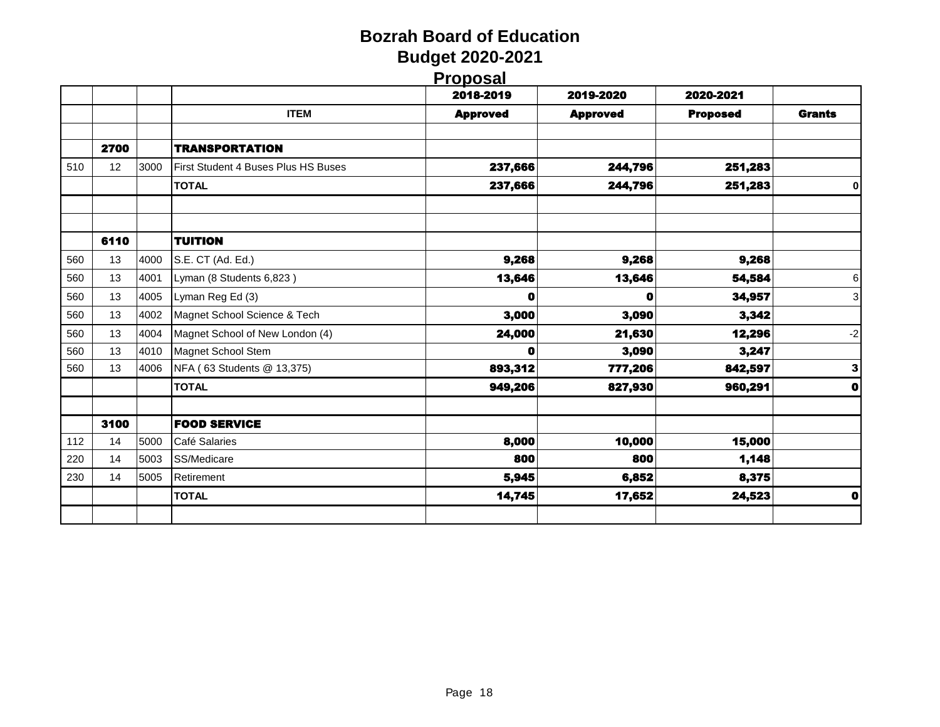| ı | Proposal |
|---|----------|
|   |          |

|     |      |      |                                     | 2018-2019       | 2019-2020       | 2020-2021       |               |
|-----|------|------|-------------------------------------|-----------------|-----------------|-----------------|---------------|
|     |      |      | <b>ITEM</b>                         | <b>Approved</b> | <b>Approved</b> | <b>Proposed</b> | <b>Grants</b> |
|     | 2700 |      | <b>TRANSPORTATION</b>               |                 |                 |                 |               |
| 510 | 12   | 3000 | First Student 4 Buses Plus HS Buses | 237,666         | 244,796         | 251,283         |               |
|     |      |      | <b>TOTAL</b>                        | 237,666         | 244,796         | 251,283         | 0             |
|     | 6110 |      | <b>TUITION</b>                      |                 |                 |                 |               |
| 560 | 13   | 4000 | S.E. CT (Ad. Ed.)                   | 9,268           | 9,268           | 9,268           |               |
| 560 | 13   | 4001 | Lyman (8 Students 6,823)            | 13,646          | 13,646          | 54,584          | 6             |
| 560 | 13   | 4005 | Lyman Reg Ed (3)                    | O               | 0               | 34,957          | 3             |
| 560 | 13   | 4002 | Magnet School Science & Tech        | 3,000           | 3,090           | 3,342           |               |
| 560 | 13   | 4004 | Magnet School of New London (4)     | 24,000          | 21,630          | 12,296          | -2            |
| 560 | 13   | 4010 | Magnet School Stem                  | Ω               | 3,090           | 3,247           |               |
| 560 | 13   | 4006 | NFA (63 Students @ 13,375)          | 893,312         | 777,206         | 842,597         | 3             |
|     |      |      | <b>TOTAL</b>                        | 949,206         | 827,930         | 960,291         | $\mathbf o$   |
|     | 3100 |      | <b>FOOD SERVICE</b>                 |                 |                 |                 |               |
| 112 | 14   | 5000 | Café Salaries                       | 8,000           | 10,000          | 15,000          |               |
| 220 | 14   | 5003 | SS/Medicare                         | 800             | 800             | 1,148           |               |
| 230 | 14   | 5005 | Retirement                          | 5,945           | 6,852           | 8,375           |               |
|     |      |      | <b>TOTAL</b>                        | 14,745          | 17,652          | 24,523          | $\mathbf 0$   |
|     |      |      |                                     |                 |                 |                 |               |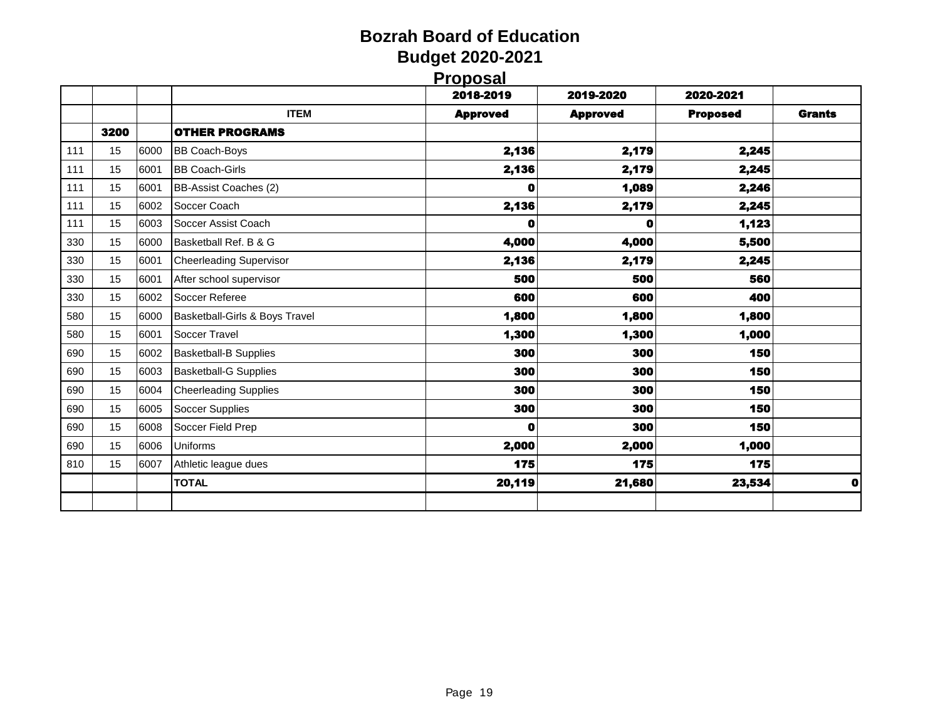## **Bozrah Board of Education Budget 2020-2021 Proposal**

|             | _____           |                 |                 |               |
|-------------|-----------------|-----------------|-----------------|---------------|
|             | 2018-2019       | 2019-2020       | 2020-2021       |               |
| <b>ITEM</b> | <b>Approved</b> | <b>Approved</b> | <b>Proposed</b> | <b>Grants</b> |
| ИS          |                 |                 |                 |               |
|             | 2,136           | 2,179           | 2,245           |               |
|             | 2,136           | 2,179           | 2,245           |               |
|             | $\mathbf 0$     | 1,089           | 2,246           |               |
|             | 2,136           | 2,179           | 2,245           |               |
|             |                 |                 |                 |               |

|     |      |      |                                | . .         | . .        |        |   |
|-----|------|------|--------------------------------|-------------|------------|--------|---|
|     | 3200 |      | <b>OTHER PROGRAMS</b>          |             |            |        |   |
| 111 | 15   | 6000 | <b>BB Coach-Boys</b>           | 2,136       | 2,179      | 2,245  |   |
| 111 | 15   | 6001 | <b>BB Coach-Girls</b>          | 2,136       | 2,179      | 2,245  |   |
| 111 | 15   | 6001 | BB-Assist Coaches (2)          | 0           | 1,089      | 2,246  |   |
| 111 | 15   | 6002 | Soccer Coach                   | 2,136       | 2,179      | 2,245  |   |
| 111 | 15   | 6003 | Soccer Assist Coach            | O           | 0          | 1,123  |   |
| 330 | 15   | 6000 | Basketball Ref. B & G          | 4,000       | 4,000      | 5,500  |   |
| 330 | 15   | 6001 | <b>Cheerleading Supervisor</b> | 2,136       | 2,179      | 2,245  |   |
| 330 | 15   | 6001 | After school supervisor        | 500         | 500        | 560    |   |
| 330 | 15   | 6002 | Soccer Referee                 | 600         | 600        | 400    |   |
| 580 | 15   | 6000 | Basketball-Girls & Boys Travel | 1,800       | 1,800      | 1,800  |   |
| 580 | 15   | 6001 | Soccer Travel                  | 1,300       | 1,300      | 1,000  |   |
| 690 | 15   | 6002 | <b>Basketball-B Supplies</b>   | 300         | 300        | 150    |   |
| 690 | 15   | 6003 | <b>Basketball-G Supplies</b>   | 300         | <b>300</b> | 150    |   |
| 690 | 15   | 6004 | <b>Cheerleading Supplies</b>   | 300         | 300        | 150    |   |
| 690 | 15   | 6005 | Soccer Supplies                | 300         | 300        | 150    |   |
| 690 | 15   | 6008 | Soccer Field Prep              | $\mathbf o$ | 300        | 150    |   |
| 690 | 15   | 6006 | Uniforms                       | 2,000       | 2,000      | 1,000  |   |
| 810 | 15   | 6007 | Athletic league dues           | 175         | 175        | 175    |   |
|     |      |      | <b>TOTAL</b>                   | 20,119      | 21,680     | 23,534 | O |
|     |      |      |                                |             |            |        |   |
|     |      |      |                                |             |            |        |   |